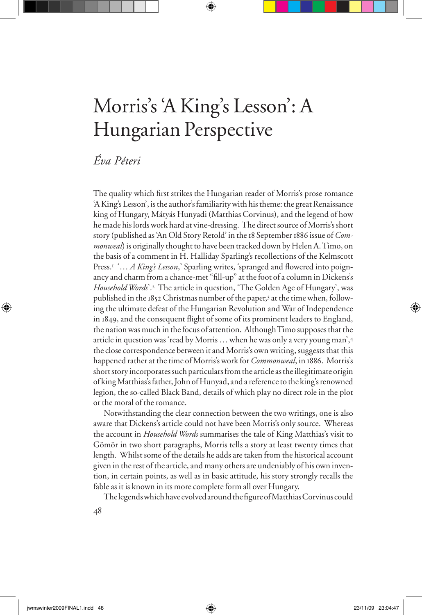## Morris's 'A King's Lesson': A Hungarian Perspective

## *Éva Péteri*

The quality which first strikes the Hungarian reader of Morris's prose romance 'A King's Lesson', is the author's familiarity with his theme: the great Renaissance king of Hungary, Mátyás Hunyadi (Matthias Corvinus), and the legend of how he made his lords work hard at vine-dressing. The direct source of Morris's short story (published as 'An Old Story Retold' in the 18 September 1886 issue of *Commonweal*) is originally thought to have been tracked down by Helen A. Timo, on the basis of a comment in H. Halliday Sparling's recollections of the Kelmscott Press.<sup>1</sup> '… *A King's Lesson*,' Sparling writes, 'spranged and flowered into poignancy and charm from a chance-met "fill-up" at the foot of a column in Dickens's *Household Words*'.2 The article in question, 'The Golden Age of Hungary', was published in the 1852 Christmas number of the paper,3 at the time when, following the ultimate defeat of the Hungarian Revolution and War of Independence in 1849, and the consequent flight of some of its prominent leaders to England, the nation was much in the focus of attention. Although Timo supposes that the article in question was 'read by Morris … when he was only a very young man',<sup>4</sup> the close correspondence between it and Morris's own writing, suggests that this happened rather at the time of Morris's work for *Commonweal*, in 1886. Morris's short story incorporates such particulars from the article as the illegitimate origin of king Matthias's father, John of Hunyad, and a reference to the king's renowned legion, the so-called Black Band, details of which play no direct role in the plot or the moral of the romance.

Notwithstanding the clear connection between the two writings, one is also aware that Dickens's article could not have been Morris's only source. Whereas the account in *Household Words* summarises the tale of King Matthias's visit to Gömör in two short paragraphs, Morris tells a story at least twenty times that length. Whilst some of the details he adds are taken from the historical account given in the rest of the article, and many others are undeniably of his own invention, in certain points, as well as in basic attitude, his story strongly recalls the fable as it is known in its more complete form all over Hungary.

The legends which have evolved around the figure of Matthias Corvinus could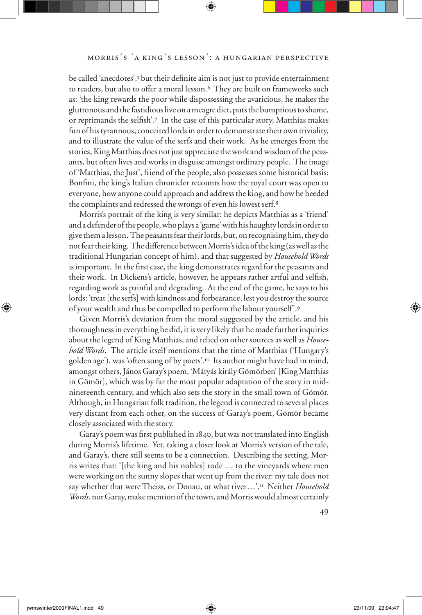be called 'anecdotes',<sup>5</sup> but their definite aim is not just to provide entertainment to readers, but also to offer a moral lesson.<sup>6</sup> They are built on frameworks such as: 'the king rewards the poor while dispossessing the avaricious, he makes the gluttonous and the fastidious live on a meagre diet, puts the bumptious to shame, or reprimands the selfish'.7 In the case of this particular story, Matthias makes fun of his tyrannous, conceited lords in order to demonstrate their own triviality, and to illustrate the value of the serfs and their work. As he emerges from the stories, King Matthias does not just appreciate the work and wisdom of the peasants, but often lives and works in disguise amongst ordinary people. The image of 'Matthias, the Just', friend of the people, also possesses some historical basis: Bonfini, the king's Italian chronicler recounts how the royal court was open to everyone, how anyone could approach and address the king, and how he heeded the complaints and redressed the wrongs of even his lowest serf.<sup>8</sup>

Morris's portrait of the king is very similar: he depicts Matthias as a 'friend' and a defender of the people, who plays a 'game' with his haughty lords in order to give them a lesson. The peasants fear their lords, but, on recognising him, they do not fear their king. The difference between Morris's idea of the king (as well as the traditional Hungarian concept of him), and that suggested by *Household Words* is important. In the first case, the king demonstrates regard for the peasants and their work. In Dickens's article, however, he appears rather artful and selfish, regarding work as painful and degrading. At the end of the game, he says to his lords: 'treat [the serfs] with kindness and forbearance, lest you destroy the source of your wealth and thus be compelled to perform the labour yourself'.<sup>9</sup>

Given Morris's deviation from the moral suggested by the article, and his thoroughness in everything he did, it is very likely that he made further inquiries about the legend of King Matthias, and relied on other sources as well as *Household Words*. The article itself mentions that the time of Matthias ('Hungary's golden age'), was 'often sung of by poets'.10 Its author might have had in mind, amongst others, János Garay's poem, 'Mátyás király Gömörben' [King Matthias in Gömör], which was by far the most popular adaptation of the story in midnineteenth century, and which also sets the story in the small town of Gömör. Although, in Hungarian folk tradition, the legend is connected to several places very distant from each other, on the success of Garay's poem, Gömör became closely associated with the story.

Garay's poem was first published in 1840, but was not translated into English during Morris's lifetime. Yet, taking a closer look at Morris's version of the tale, and Garay's, there still seems to be a connection. Describing the setting, Morris writes that: '[the king and his nobles] rode … to the vineyards where men were working on the sunny slopes that went up from the river: my tale does not say whether that were Theiss, or Donau, or what river…'.11 Neither *Household Words*, nor Garay, make mention of the town, and Morris would almost certainly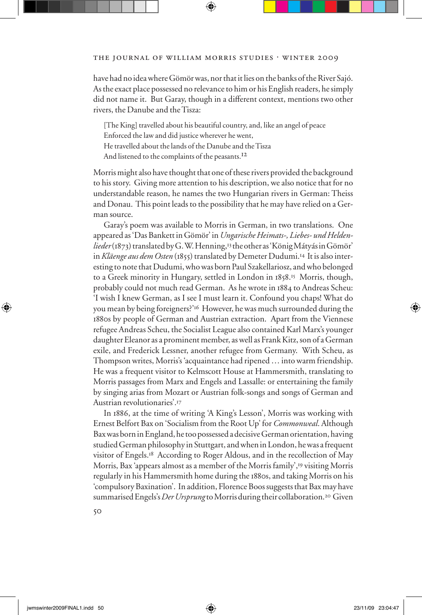## THE JOURNAL OF WILLIAM MORRIS STUDIES . WINTER 2009

have had no idea where Gömör was, nor that it lies on the banks of the River Sajó. As the exact place possessed no relevance to him or his English readers, he simply did not name it. But Garay, though in a different context, mentions two other rivers, the Danube and the Tisza:

[The King] travelled about his beautiful country, and, like an angel of peace Enforced the law and did justice wherever he went, He travelled about the lands of the Danube and the Tisza And listened to the complaints of the peasants.<sup>12</sup>

Morris might also have thought that one of these rivers provided the background to his story. Giving more attention to his description, we also notice that for no understandable reason, he names the two Hungarian rivers in German: Theiss and Donau. This point leads to the possibility that he may have relied on a German source.

Garay's poem was available to Morris in German, in two translations. One appeared as 'Das Bankett in Gömör' in *Ungarische Heimats-, Liebes- und Heldenlieder* (1873) translated by G. W. Henning,13 the other as 'König Mátyás in Gömör' in *Kläenge aus dem Osten* (1855) translated by Demeter Dudumi.14 It is also interesting to note that Dudumi, who was born Paul Szakellariosz, and who belonged to a Greek minority in Hungary, settled in London in 1858.15 Morris, though, probably could not much read German. As he wrote in 1884 to Andreas Scheu: 'I wish I knew German, as I see I must learn it. Confound you chaps! What do you mean by being foreigners?'16 However, he was much surrounded during the 1880s by people of German and Austrian extraction. Apart from the Viennese refugee Andreas Scheu, the Socialist League also contained Karl Marx's younger daughter Eleanor as a prominent member, as well as Frank Kitz, son of a German exile, and Frederick Lessner, another refugee from Germany. With Scheu, as Thompson writes, Morris's 'acquaintance had ripened … into warm friendship. He was a frequent visitor to Kelmscott House at Hammersmith, translating to Morris passages from Marx and Engels and Lassalle: or entertaining the family by singing arias from Mozart or Austrian folk-songs and songs of German and Austrian revolutionaries'.<sup>17</sup>

In 1886, at the time of writing 'A King's Lesson', Morris was working with Ernest Belfort Bax on 'Socialism from the Root Up' for *Commonweal*. Although Bax was born in England, he too possessed a decisive German orientation, having studied German philosophy in Stuttgart, and when in London, he was a frequent visitor of Engels.18 According to Roger Aldous, and in the recollection of May Morris, Bax 'appears almost as a member of the Morris family',19 visiting Morris regularly in his Hammersmith home during the 1880s, and taking Morris on his 'compulsory Baxination'. In addition, Florence Boos suggests that Bax may have summarised Engels's *Der Ursprung* to Morris during their collaboration.20 Given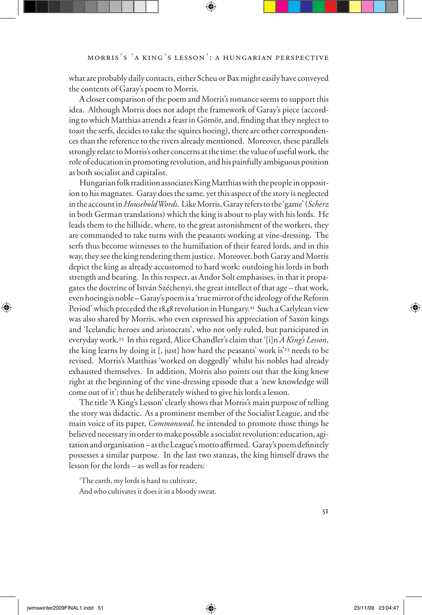what are probably daily contacts, either Scheu or Bax might easily have conveyed the contents of Garay's poem to Morris.

A closer comparison of the poem and Morris's romance seems to support this idea. Although Morris does not adopt the framework of Garay's piece (according to which Matthias attends a feast in Gömör, and, finding that they neglect to toast the serfs, decides to take the squires hoeing), there are other correspondences than the reference to the rivers already mentioned. Moreover, these parallels strongly relate to Morris's other concerns at the time: the value of useful work, the role of education in promoting revolution, and his painfully ambiguous position as both socialist and capitalist.

Hungarian folk tradition associates King Matthias with the people in opposition to his magnates. Garay does the same, yet this aspect of the story is neglected in the account in *Household Words*. Like Morris, Garay refers to the 'game' (*Scherz* in both German translations) which the king is about to play with his lords. He leads them to the hillside, where, to the great astonishment of the workers, they are commanded to take turns with the peasants working at vine-dressing. The serfs thus become witnesses to the humiliation of their feared lords, and in this way, they see the king rendering them justice. Moreover, both Garay and Morris depict the king as already accustomed to hard work: outdoing his lords in both strength and bearing. In this respect, as Andor Solt emphasises, in that it propagates the doctrine of István Széchenyi, the great intellect of that age – that work, even hoeing is noble – Garay's poem is a 'true mirror of the ideology of the Reform Period' which preceded the 1848 revolution in Hungary.<sup>21</sup> Such a Carlylean view was also shared by Morris, who even expressed his appreciation of Saxon kings and 'Icelandic heroes and aristocrats', who not only ruled, but participated in everyday work.22 In this regard, Alice Chandler's claim that '[i]n *A King's Lesson*, the king learns by doing it [, just] how hard the peasants' work is'23 needs to be revised. Morris's Matthias 'worked on doggedly' whilst his nobles had already exhausted themselves. In addition, Morris also points out that the king knew right at the beginning of the vine-dressing episode that a 'new knowledge will come out of it'; thus he deliberately wished to give his lords a lesson.

The title 'A King's Lesson' clearly shows that Morris's main purpose of telling the story was didactic. As a prominent member of the Socialist League, and the main voice of its paper, *Commonweal*, he intended to promote those things he believed necessary in order to make possible a socialist revolution: education, agitation and organisation – as the League's motto affirmed. Garay's poem definitely possesses a similar purpose. In the last two stanzas, the king himself draws the lesson for the lords – as well as for readers:

'The earth, my lords is hard to cultivate,

And who cultivates it does it in a bloody sweat.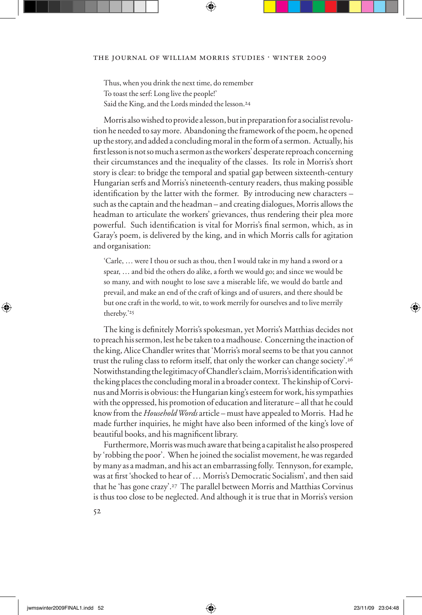Thus, when you drink the next time, do remember To toast the serf: Long live the people!' Said the King, and the Lords minded the lesson.24

Morris also wished to provide a lesson, but in preparation for a socialist revolution he needed to say more. Abandoning the framework of the poem, he opened up the story, and added a concluding moral in the form of a sermon. Actually, his first lesson is not so much a sermon as the workers' desperate reproach concerning their circumstances and the inequality of the classes. Its role in Morris's short story is clear: to bridge the temporal and spatial gap between sixteenth-century Hungarian serfs and Morris's nineteenth-century readers, thus making possible identification by the latter with the former. By introducing new characters – such as the captain and the headman – and creating dialogues, Morris allows the headman to articulate the workers' grievances, thus rendering their plea more powerful. Such identification is vital for Morris's final sermon, which, as in Garay's poem, is delivered by the king, and in which Morris calls for agitation and organisation:

'Carle, … were I thou or such as thou, then I would take in my hand a sword or a spear, … and bid the others do alike, a forth we would go; and since we would be so many, and with nought to lose save a miserable life, we would do battle and prevail, and make an end of the craft of kings and of usurers, and there should be but one craft in the world, to wit, to work merrily for ourselves and to live merrily thereby.'25

The king is definitely Morris's spokesman, yet Morris's Matthias decides not to preach his sermon, lest he be taken to a madhouse. Concerning the inaction of the king, Alice Chandler writes that 'Morris's moral seems to be that you cannot trust the ruling class to reform itself, that only the worker can change society'.<sup>26</sup> Notwithstanding the legitimacy of Chandler's claim, Morris's identification with the king places the concluding moral in a broader context. The kinship of Corvinus and Morris is obvious: the Hungarian king's esteem for work, his sympathies with the oppressed, his promotion of education and literature – all that he could know from the *Household Words* article – must have appealed to Morris. Had he made further inquiries, he might have also been informed of the king's love of beautiful books, and his magnificent library.

Furthermore, Morris was much aware that being a capitalist he also prospered by 'robbing the poor'. When he joined the socialist movement, he was regarded by many as a madman, and his act an embarrassing folly. Tennyson, for example, was at first 'shocked to hear of ... Morris's Democratic Socialism', and then said that he 'has gone crazy'.27 The parallel between Morris and Matthias Corvinus is thus too close to be neglected. And although it is true that in Morris's version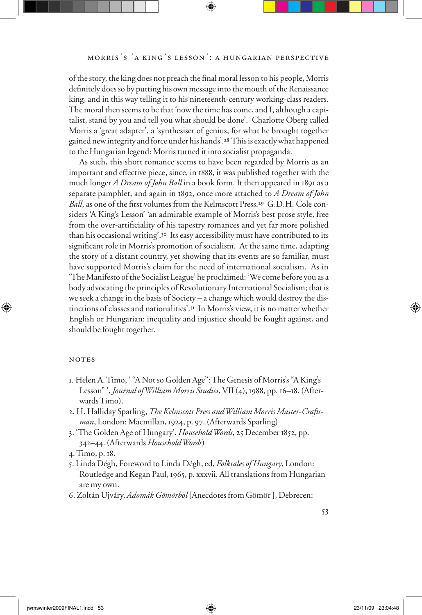of the story, the king does not preach the final moral lesson to his people, Morris definitely does so by putting his own message into the mouth of the Renaissance king, and in this way telling it to his nineteenth-century working-class readers. The moral then seems to be that 'now the time has come, and I, although a capitalist, stand by you and tell you what should be done'. Charlotte Oberg called Morris a 'great adapter', a 'synthesiser of genius, for what he brought together gained new integrity and force under his hands'.28 This is exactly what happened to the Hungarian legend: Morris turned it into socialist propaganda.

As such, this short romance seems to have been regarded by Morris as an important and effective piece, since, in 1888, it was published together with the much longer *A Dream of John Ball* in a book form. It then appeared in 1891 as a separate pamphlet, and again in 1892, once more attached to *A Dream of John Ball*, as one of the first volumes from the Kelmscott Press.<sup>29</sup> G.D.H. Cole considers 'A King's Lesson' 'an admirable example of Morris's best prose style, free from the over-artificiality of his tapestry romances and yet far more polished than his occasional writing'.30 Its easy accessibility must have contributed to its significant role in Morris's promotion of socialism. At the same time, adapting the story of a distant country, yet showing that its events are so familiar, must have supported Morris's claim for the need of international socialism. As in 'The Manifesto of the Socialist League' he proclaimed: 'We come before you as a body advocating the principles of Revolutionary International Socialism; that is we seek a change in the basis of Society – a change which would destroy the distinctions of classes and nationalities'.31 In Morris's view, it is no matter whether English or Hungarian: inequality and injustice should be fought against, and should be fought together.

## **NOTES**

- 1. Helen A. Timo, ' "A Not so Golden Age": The Genesis of Morris's "A King's Lesson" ', *Journal of William Morris Studies*, VII (4), 1988, pp. 16–18. (Afterwards Timo).
- 2. H. Halliday Sparling, *The Kelmscott Press and William Morris Master-Craftsman*, London: Macmillan, 1924, p. 97. (Afterwards Sparling)
- 3. 'The Golden Age of Hungary'. *Household Words*, 25 December 1852, pp. 342–44. (Afterwards *Household Words*)
- 4. Timo, p. 18.
- 5. Linda Dégh, Foreword to Linda Dégh, ed, *Folktales of Hungary*, London: Routledge and Kegan Paul, 1965, p. xxxvii. All translations from Hungarian are my own.
- 6. Zoltán Ujváry, *Adomák Gömörböl* [Anecdotes from Gömör ], Debrecen: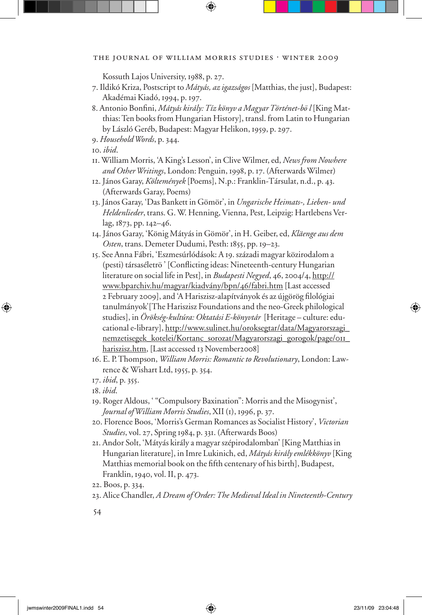Kossuth Lajos University, 1988, p. 27.

- 7. Ildikó Kriza, Postscript to *Mátyás, az igazságos* [Matthias, the just], Budapest: Akadémai Kiadó, 1994, p. 197.
- 8. Antonio Bonfini, *Mátyás király: Tíz könyv a Magyar Történet-bö l* [King Matthias: Ten books from Hungarian History], transl. from Latin to Hungarian by László Geréb, Budapest: Magyar Helikon, 1959, p. 297.
- 9. *Household Words*, p. 344.
- 10. *ibid*.
- 11. William Morris, 'A King's Lesson', in Clive Wilmer, ed, *News from Nowhere and Other Writings*, London: Penguin, 1998, p. 17. (Afterwards Wilmer)
- 12. János Garay, *Költemények* [Poems], N.p.: Franklin-Társulat, n.d., p. 43. (Afterwards Garay, Poems)
- 13. János Garay, 'Das Bankett in Gömör', in *Ungarische Heimats-, Lieben- und Heldenlieder*, trans. G. W. Henning, Vienna, Pest, Leipzig: Hartlebens Verlag, 1873, pp. 142–46.
- 14. János Garay, 'König Mátyás in Gömör', in H. Geiber, ed, *Kläenge aus dem Osten*, trans. Demeter Dudumi, Pesth: 1855, pp. 19–23.
- 15. See Anna Fábri, 'Eszmesúrlódások: A 19. századi magyar közirodalom a (pesti) társaséletrö ' [Conflicting ideas: Nineteenth-century Hungarian literature on social life in Pest], in *Budapesti Negyed*, 46, 2004/4, http:// www.bparchiv.hu/magyar/kiadvány/bpn/46/fabri.htm [Last accessed 2 February 2009], and 'A Hariszisz-alapítványok és az újgörög filológiai tanulmányok'[The Hariszisz Foundations and the neo-Greek philological studies], in *Örökség-kultúra: Oktatási E-könyvtár* [Heritage – culture: educational e-library], http://www.sulinet.hu/oroksegtar/data/Magyarorszagi\_ nemzetisegek\_kotelei/Kortanc\_sorozat/Magyarorszagi\_gorogok/page/011\_ hariszisz.htm, [Last accessed 13 November2008]
- 16. E. P. Thompson, *William Morris: Romantic to Revolutionary*, London: Lawrence & Wishart Ltd, 1955, p. 354.
- 17. *ibid*, p. 355.
- 18. *ibid*.
- 19. Roger Aldous, ' "Compulsory Baxination": Morris and the Misogynist', *Journal of William Morris Studies*, XII (1), 1996, p. 37.
- 20. Florence Boos, 'Morris's German Romances as Socialist History', *Victorian Studies*, vol. 27, Spring 1984, p. 331. (Afterwards Boos)
- 21. Andor Solt, 'Mátyás király a magyar szépirodalomban' [King Matthias in Hungarian literature], in Imre Lukinich, ed, *Mátyás király emlékkönyv* [King Matthias memorial book on the fifth centenary of his birth], Budapest, Franklin, 1940, vol. II, p. 473.
- 22. Boos, p. 334.
- 23. Alice Chandler, *A Dream of Order: The Medieval Ideal in Nineteenth-Century*